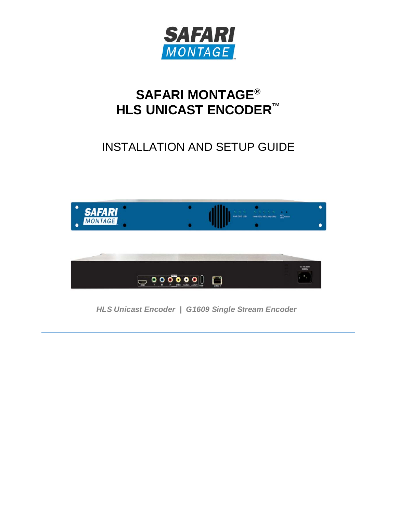

## **SAFARI MONTAGE® HLS UNICAST ENCODER™**

## INSTALLATION AND SETUP GUIDE



*HLS Unicast Encoder | G1609 Single Stream Encoder*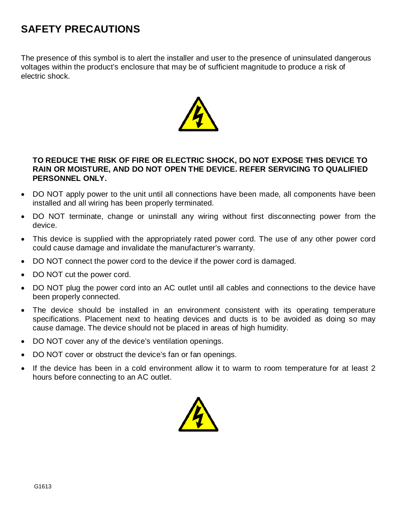## **SAFETY PRECAUTIONS**

The presence of this symbol is to alert the installer and user to the presence of uninsulated dangerous voltages within the product's enclosure that may be of sufficient magnitude to produce a risk of electric shock.



#### **TO REDUCE THE RISK OF FIRE OR ELECTRIC SHOCK, DO NOT EXPOSE THIS DEVICE TO RAIN OR MOISTURE, AND DO NOT OPEN THE DEVICE. REFER SERVICING TO QUALIFIED PERSONNEL ONLY.**

- DO NOT apply power to the unit until all connections have been made, all components have been installed and all wiring has been properly terminated.
- DO NOT terminate, change or uninstall any wiring without first disconnecting power from the device.
- This device is supplied with the appropriately rated power cord. The use of any other power cord could cause damage and invalidate the manufacturer's warranty.
- DO NOT connect the power cord to the device if the power cord is damaged.
- DO NOT cut the power cord.
- DO NOT plug the power cord into an AC outlet until all cables and connections to the device have been properly connected.
- The device should be installed in an environment consistent with its operating temperature specifications. Placement next to heating devices and ducts is to be avoided as doing so may cause damage. The device should not be placed in areas of high humidity.
- DO NOT cover any of the device's ventilation openings.
- DO NOT cover or obstruct the device's fan or fan openings.
- If the device has been in a cold environment allow it to warm to room temperature for at least 2 hours before connecting to an AC outlet.

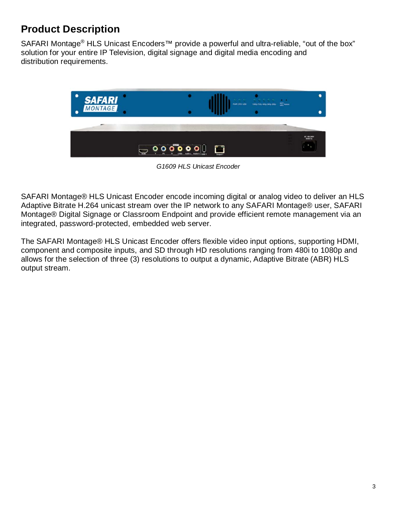## **Product Description**

SAFARI Montage® HLS Unicast Encoders<sup>™</sup> provide a powerful and ultra-reliable, "out of the box" solution for your entire IP Television, digital signage and digital media encoding and distribution requirements.



*G1609 HLS Unicast Encoder*

SAFARI Montage® HLS Unicast Encoder encode incoming digital or analog video to deliver an HLS Adaptive Bitrate H.264 unicast stream over the IP network to any SAFARI Montage® user, SAFARI Montage® Digital Signage or Classroom Endpoint and provide efficient remote management via an integrated, password-protected, embedded web server.

The SAFARI Montage® HLS Unicast Encoder offers flexible video input options, supporting HDMI, component and composite inputs, and SD through HD resolutions ranging from 480i to 1080p and allows for the selection of three (3) resolutions to output a dynamic, Adaptive Bitrate (ABR) HLS output stream.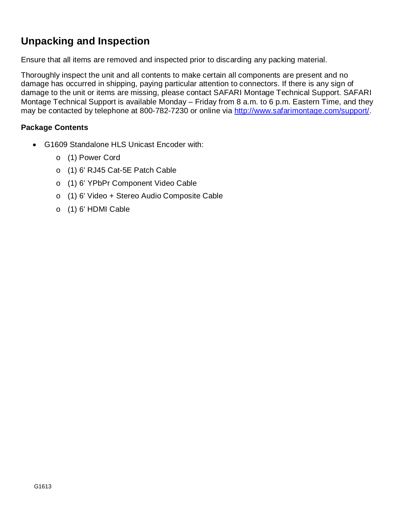## **Unpacking and Inspection**

Ensure that all items are removed and inspected prior to discarding any packing material.

Thoroughly inspect the unit and all contents to make certain all components are present and no damage has occurred in shipping, paying particular attention to connectors. If there is any sign of damage to the unit or items are missing, please contact SAFARI Montage Technical Support. SAFARI Montage Technical Support is available Monday – Friday from 8 a.m. to 6 p.m. Eastern Time, and they may be contacted by telephone at 800-782-7230 or online via [http://www.safarimontage.com/support/.](http://www.safarimontage.com/support/)

#### **Package Contents**

- G1609 Standalone HLS Unicast Encoder with:
	- o (1) Power Cord
	- o (1) 6' RJ45 Cat-5E Patch Cable
	- o (1) 6' YPbPr Component Video Cable
	- o (1) 6' Video + Stereo Audio Composite Cable
	- o (1) 6' HDMI Cable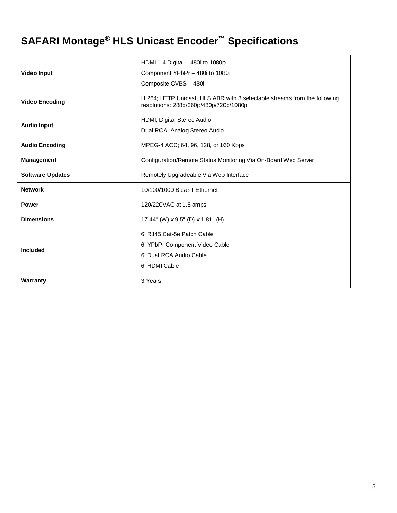# **SAFARI Montage® HLS Unicast Encoder™ Specifications**

|                         | HDMI 1.4 Digital - 480i to 1080p                                                                                    |
|-------------------------|---------------------------------------------------------------------------------------------------------------------|
| <b>Video Input</b>      | Component YPbPr - 480i to 1080i<br>Composite CVBS - 480i                                                            |
|                         |                                                                                                                     |
| <b>Video Encoding</b>   | H.264; HTTP Unicast, HLS ABR with 3 selectable streams from the following<br>resolutions: 288p/360p/480p/720p/1080p |
|                         | HDMI, Digital Stereo Audio                                                                                          |
| <b>Audio Input</b>      | Dual RCA, Analog Stereo Audio                                                                                       |
| <b>Audio Encoding</b>   | MPEG-4 ACC; 64, 96, 128, or 160 Kbps                                                                                |
| Management              | Configuration/Remote Status Monitoring Via On-Board Web Server                                                      |
| <b>Software Updates</b> | Remotely Upgradeable Via Web Interface                                                                              |
| <b>Network</b>          | 10/100/1000 Base-T Ethernet                                                                                         |
| <b>Power</b>            | 120/220VAC at 1.8 amps                                                                                              |
| <b>Dimensions</b>       | 17.44" (W) x 9.5" (D) x 1.81" (H)                                                                                   |
|                         | 6' RJ45 Cat-5e Patch Cable                                                                                          |
|                         | 6' YPbPr Component Video Cable                                                                                      |
| Included                | 6' Dual RCA Audio Cable                                                                                             |
|                         | 6' HDMI Cable                                                                                                       |
| <b>Warranty</b>         | 3 Years                                                                                                             |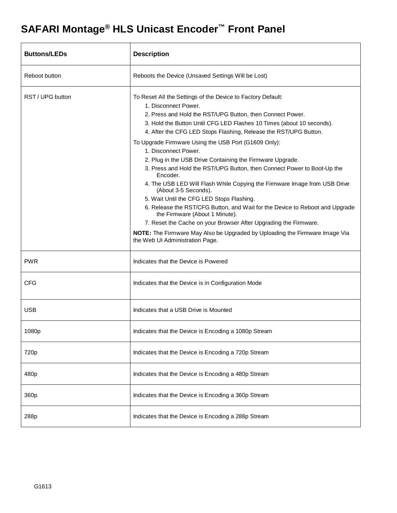## **SAFARI Montage® HLS Unicast Encoder™ Front Panel**

| <b>Buttons/LEDs</b> | <b>Description</b>                                                                                                                                                                                                                                                                                                                                                                                                                                                                                                                                                                                                                                                                                                                                                                                                                                                                                                                                                                          |
|---------------------|---------------------------------------------------------------------------------------------------------------------------------------------------------------------------------------------------------------------------------------------------------------------------------------------------------------------------------------------------------------------------------------------------------------------------------------------------------------------------------------------------------------------------------------------------------------------------------------------------------------------------------------------------------------------------------------------------------------------------------------------------------------------------------------------------------------------------------------------------------------------------------------------------------------------------------------------------------------------------------------------|
| Reboot button       | Reboots the Device (Unsaved Settings Will be Lost)                                                                                                                                                                                                                                                                                                                                                                                                                                                                                                                                                                                                                                                                                                                                                                                                                                                                                                                                          |
| RST / UPG button    | To Reset All the Settings of the Device to Factory Default:<br>1. Disconnect Power.<br>2. Press and Hold the RST/UPG Button, then Connect Power.<br>3. Hold the Button Until CFG LED Flashes 10 Times (about 10 seconds).<br>4. After the CFG LED Stops Flashing, Release the RST/UPG Button.<br>To Upgrade Firmware Using the USB Port (G1609 Only):<br>1. Disconnect Power.<br>2. Plug in the USB Drive Containing the Firmware Upgrade.<br>3. Press and Hold the RST/UPG Button, then Connect Power to Boot-Up the<br>Encoder.<br>4. The USB LED Will Flash While Copying the Firmware Image from USB Drive<br>(About 3-5 Seconds).<br>5. Wait Until the CFG LED Stops Flashing.<br>6. Release the RST/CFG Button, and Wait for the Device to Reboot and Upgrade<br>the Firmware (About 1 Minute).<br>7. Reset the Cache on your Browser After Upgrading the Firmware.<br>NOTE: The Firmware May Also be Upgraded by Uploading the Firmware Image Via<br>the Web UI Administration Page. |
| <b>PWR</b>          | Indicates that the Device is Powered                                                                                                                                                                                                                                                                                                                                                                                                                                                                                                                                                                                                                                                                                                                                                                                                                                                                                                                                                        |
| <b>CFG</b>          | Indicates that the Device is in Configuration Mode                                                                                                                                                                                                                                                                                                                                                                                                                                                                                                                                                                                                                                                                                                                                                                                                                                                                                                                                          |
| <b>USB</b>          | Indicates that a USB Drive is Mounted                                                                                                                                                                                                                                                                                                                                                                                                                                                                                                                                                                                                                                                                                                                                                                                                                                                                                                                                                       |
| 1080p               | Indicates that the Device is Encoding a 1080p Stream                                                                                                                                                                                                                                                                                                                                                                                                                                                                                                                                                                                                                                                                                                                                                                                                                                                                                                                                        |
| 720p                | Indicates that the Device is Encoding a 720p Stream                                                                                                                                                                                                                                                                                                                                                                                                                                                                                                                                                                                                                                                                                                                                                                                                                                                                                                                                         |
| 480p                | Indicates that the Device is Encoding a 480p Stream                                                                                                                                                                                                                                                                                                                                                                                                                                                                                                                                                                                                                                                                                                                                                                                                                                                                                                                                         |
| 360p                | Indicates that the Device is Encoding a 360p Stream                                                                                                                                                                                                                                                                                                                                                                                                                                                                                                                                                                                                                                                                                                                                                                                                                                                                                                                                         |
| 288p                | Indicates that the Device is Encoding a 288p Stream                                                                                                                                                                                                                                                                                                                                                                                                                                                                                                                                                                                                                                                                                                                                                                                                                                                                                                                                         |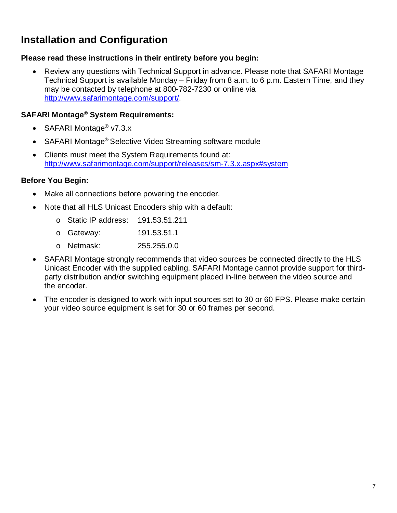## **Installation and Configuration**

#### **Please read these instructions in their entirety before you begin:**

• Review any questions with Technical Support in advance. Please note that SAFARI Montage Technical Support is available Monday – Friday from 8 a.m. to 6 p.m. Eastern Time, and they may be contacted by telephone at 800-782-7230 or online via [http://www.safarimontage.com/support/.](http://www.safarimontage.com/support/)

#### **SAFARI Montage® System Requirements:**

- SAFARI Montage**®** v7.3.x
- SAFARI Montage**®** Selective Video Streaming software module
- Clients must meet the System Requirements found at: <http://www.safarimontage.com/support/releases/sm-7.3.x.aspx#system>

#### **Before You Begin:**

- Make all connections before powering the encoder.
- Note that all HLS Unicast Encoders ship with a default:
	- o Static IP address: 191.53.51.211
	- o Gateway: 191.53.51.1 o Netmask: 255.255.0.0
- SAFARI Montage strongly recommends that video sources be connected directly to the HLS Unicast Encoder with the supplied cabling. SAFARI Montage cannot provide support for thirdparty distribution and/or switching equipment placed in-line between the video source and the encoder.
- The encoder is designed to work with input sources set to 30 or 60 FPS. Please make certain your video source equipment is set for 30 or 60 frames per second.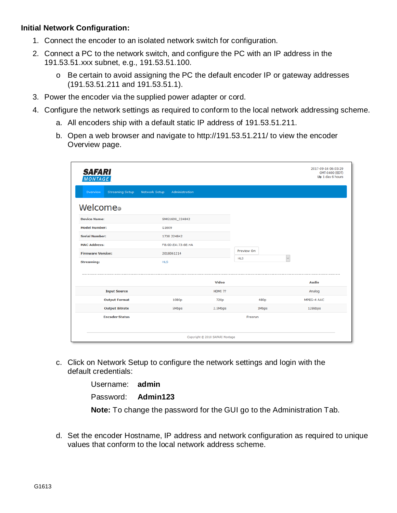#### **Initial Network Configuration:**

- 1. Connect the encoder to an isolated network switch for configuration.
- 2. Connect a PC to the network switch, and configure the PC with an IP address in the 191.53.51.xxx subnet, e.g., 191.53.51.100.
	- o Be certain to avoid assigning the PC the default encoder IP or gateway addresses (191.53.51.211 and 191.53.51.1).
- 3. Power the encoder via the supplied power adapter or cord.
- 4. Configure the network settings as required to conform to the local network addressing scheme.
	- a. All encoders ship with a default static IP address of 191.53.51.211.
	- b. Open a web browser and navigate to http://191.53.51.211/ to view the encoder Overview page.

| <b>SAFARI</b><br><b>MONTAGE</b>    |                                        |                                 |            | 2017-09-16 06:03:29<br>GMT-0400 (EDT)<br>Up 1 day 6 hours |
|------------------------------------|----------------------------------------|---------------------------------|------------|-----------------------------------------------------------|
| <b>Streaming Setup</b><br>Overview | <b>Network Setup</b><br>Administration |                                 |            |                                                           |
| Welcome®                           |                                        |                                 |            |                                                           |
| <b>Device Name:</b>                | SMG1609_224842                         |                                 |            |                                                           |
| <b>Model Number:</b>               | G1609                                  |                                 |            |                                                           |
| <b>Serial Number:</b>              | 1738 224842                            |                                 |            |                                                           |
| <b>MAC Address:</b>                | F8:0D:EA:73:6E:4A                      |                                 |            |                                                           |
| <b>Firmware Version:</b>           | 2018061214                             |                                 | Preview On |                                                           |
| <b>Streaming:</b>                  | <b>HLS</b>                             |                                 | <b>HLS</b> | $\checkmark$                                              |
|                                    |                                        | Video                           |            | <b>Audio</b>                                              |
| <b>Input Source</b>                |                                        | HDMI ??                         |            | Analog                                                    |
| <b>Output Format</b>               | 1080p                                  | 720p                            | 480p       | MPEG-4 AAC                                                |
| <b>Output Bitrate</b>              | <b>SMbps</b>                           | 2.5Mbps                         | 1Mbps      | 128kbps                                                   |
| <b>Encoder Status</b>              |                                        |                                 | Freerun    |                                                           |
|                                    |                                        |                                 |            |                                                           |
|                                    |                                        | Copyright @ 2018 SAFARI Montage |            |                                                           |

c. Click on Network Setup to configure the network settings and login with the default credentials:

> Username: **admin** Password: **Admin123 Note:** To change the password for the GUI go to the Administration Tab.

d. Set the encoder Hostname, IP address and network configuration as required to unique values that conform to the local network address scheme.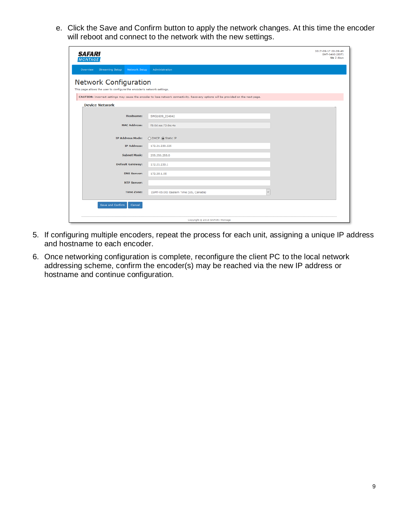e. Click the Save and Confirm button to apply the network changes. At this time the encoder will reboot and connect to the network with the new settings.

| <b>SAFARI</b><br><b>MONTAGE</b>                                                                 |                                                                                                                                     | 2017-09-17 00:39:49<br>GMT-0400 (EDT)<br>Up 2 days |
|-------------------------------------------------------------------------------------------------|-------------------------------------------------------------------------------------------------------------------------------------|----------------------------------------------------|
| <b>Streaming Setup</b><br><b>Network Setup</b><br>Overview                                      | <b>Administration</b>                                                                                                               |                                                    |
| Network Configuration<br>This page allows the user to configure the encoder's network settings. |                                                                                                                                     |                                                    |
|                                                                                                 | CAUTION: Incorrect settings may cause the encoder to lose network connectivity. Recovery options will be provided on the next page. |                                                    |
| <b>Device Network</b>                                                                           |                                                                                                                                     |                                                    |
| <b>Hostname:</b>                                                                                | SMG1609_224842                                                                                                                      |                                                    |
| <b>MAC Address:</b>                                                                             | f8:0d:ea:73:6e:4a                                                                                                                   |                                                    |
| <b>IP Address Mode:</b>                                                                         | ◯ DHCP (a) Static IP                                                                                                                |                                                    |
| <b>IP Address:</b>                                                                              | 172.21.230.225                                                                                                                      |                                                    |
| <b>Subnet Mask:</b>                                                                             | 255.255.255.0                                                                                                                       |                                                    |
| <b>Default Gateway:</b>                                                                         | 172.21.230.1                                                                                                                        |                                                    |
| <b>DNS Server:</b>                                                                              | 172.20.1.55                                                                                                                         |                                                    |
| <b>NTP Server:</b>                                                                              |                                                                                                                                     |                                                    |
| <b>Time Zone:</b>                                                                               | $\backsim$<br>(GMT-05:00) Eastern Time (US, Canada)                                                                                 |                                                    |
| Save and Confirm<br>Cancel                                                                      |                                                                                                                                     |                                                    |
|                                                                                                 | Copyright @ 2018 SAFARI Montage                                                                                                     |                                                    |

- 5. If configuring multiple encoders, repeat the process for each unit, assigning a unique IP address and hostname to each encoder.
- 6. Once networking configuration is complete, reconfigure the client PC to the local network addressing scheme, confirm the encoder(s) may be reached via the new IP address or hostname and continue configuration.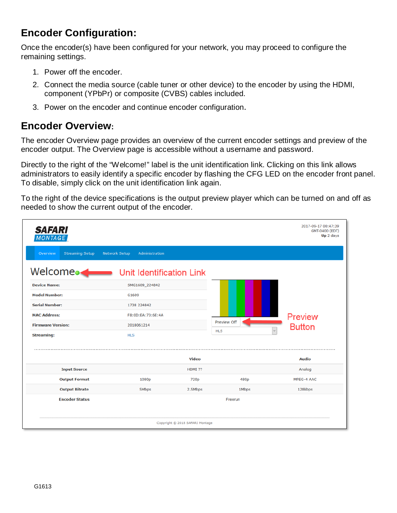## **Encoder Configuration:**

Once the encoder(s) have been configured for your network, you may proceed to configure the remaining settings.

- 1. Power off the encoder.
- 2. Connect the media source (cable tuner or other device) to the encoder by using the HDMI, component (YPbPr) or composite (CVBS) cables included.
- 3. Power on the encoder and continue encoder configuration.

#### **Encoder Overview:**

The encoder Overview page provides an overview of the current encoder settings and preview of the encoder output. The Overview page is accessible without a username and password.

Directly to the right of the "Welcome!" label is the unit identification link. Clicking on this link allows administrators to easily identify a specific encoder by flashing the CFG LED on the encoder front panel. To disable, simply click on the unit identification link again.

To the right of the device specifications is the output preview player which can be turned on and off as needed to show the current output of the encoder.

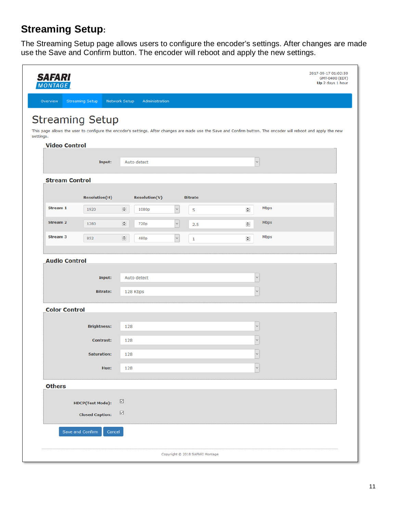## **Streaming Setup:**

The Streaming Setup page allows users to configure the encoder's settings. After changes are made use the Save and Confirm button. The encoder will reboot and apply the new settings.

| <b>SAFARI</b><br><b>MONTAGE</b> |                                                |               |                               |                          |                |        |                   | 2017-09-17 01:02:59<br>GMT-0400 (EDT)<br>Up 2 days 1 hour                                                                                                        |
|---------------------------------|------------------------------------------------|---------------|-------------------------------|--------------------------|----------------|--------|-------------------|------------------------------------------------------------------------------------------------------------------------------------------------------------------|
| Overview                        | <b>Streaming Setup</b><br><b>Network Setup</b> |               | Administration                |                          |                |        |                   |                                                                                                                                                                  |
|                                 | <b>Streaming Setup</b>                         |               |                               |                          |                |        |                   |                                                                                                                                                                  |
| settings.                       |                                                |               |                               |                          |                |        |                   | This page allows the user to configure the encoder's settings. After changes are made use the Save and Confirm button. The encoder will reboot and apply the new |
| <b>Video Control</b>            |                                                |               |                               |                          |                |        |                   |                                                                                                                                                                  |
|                                 | Input:                                         |               | Auto detect                   |                          |                |        | $\backsim$        |                                                                                                                                                                  |
| <b>Stream Control</b>           |                                                |               |                               |                          |                |        |                   |                                                                                                                                                                  |
|                                 | <b>Resolution(H)</b>                           |               |                               |                          | <b>Bitrate</b> |        |                   |                                                                                                                                                                  |
| <b>Stream 1</b>                 | 1920                                           | $\Rightarrow$ | <b>Resolution(V)</b><br>1080p | $\checkmark$             | 5              | $\div$ |                   | Mbps                                                                                                                                                             |
| <b>Stream 2</b>                 | 1280                                           | 늰             | 720p                          | $\vert \downarrow \vert$ | 2.5            | ÷      |                   | <b>Mbps</b>                                                                                                                                                      |
| <b>Stream 3</b>                 | 852                                            | 늰             | 480p                          | $\check{~}$              | $\mathbf 1$    | $\div$ |                   | Mbps                                                                                                                                                             |
|                                 |                                                |               |                               |                          |                |        |                   |                                                                                                                                                                  |
| <b>Audio Control</b>            |                                                |               |                               |                          |                |        |                   |                                                                                                                                                                  |
|                                 | Input:                                         |               | Auto detect                   |                          |                |        | $\check{~}$       |                                                                                                                                                                  |
|                                 | $\check{~}$<br><b>Bitrate:</b><br>128 Kbps     |               |                               |                          |                |        |                   |                                                                                                                                                                  |
| <b>Color Control</b>            |                                                |               |                               |                          |                |        |                   |                                                                                                                                                                  |
|                                 | <b>Brightness:</b>                             | 128           |                               |                          |                |        | $\check{~}$       |                                                                                                                                                                  |
|                                 | <b>Contrast:</b>                               | 128           |                               |                          |                |        | $\checkmark$      |                                                                                                                                                                  |
|                                 | <b>Saturation:</b>                             | 128           |                               |                          |                |        | $\checkmark$<br>⊐ |                                                                                                                                                                  |
|                                 | Hue:                                           | 128           |                               |                          |                |        | $\check{~}$       |                                                                                                                                                                  |
| <b>Others</b>                   |                                                |               |                               |                          |                |        |                   |                                                                                                                                                                  |
|                                 | <b>HDCP(Test Mode):</b>                        | ☑             |                               |                          |                |        |                   |                                                                                                                                                                  |
|                                 | <b>Closed Caption:</b>                         | ☑             |                               |                          |                |        |                   |                                                                                                                                                                  |
|                                 | Save and Confirm<br>Cancel                     |               |                               |                          |                |        |                   |                                                                                                                                                                  |
|                                 |                                                |               |                               |                          |                |        |                   |                                                                                                                                                                  |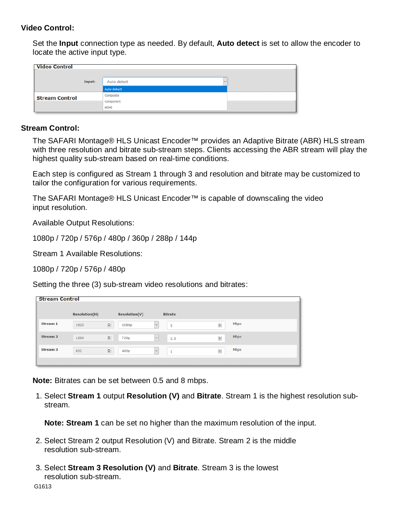#### **Video Control:**

Set the **Input** connection type as needed. By default, **Auto detect** is set to allow the encoder to locate the active input type.

| <b>Video Control</b>  |             |  |
|-----------------------|-------------|--|
| Input:                | Auto detect |  |
|                       | Auto detect |  |
| <b>Stream Control</b> | Composite   |  |
|                       | Component   |  |
|                       | HDMI        |  |

#### **Stream Control:**

The SAFARI Montage® HLS Unicast Encoder™ provides an Adaptive Bitrate (ABR) HLS stream with three resolution and bitrate sub-stream steps. Clients accessing the ABR stream will play the highest quality sub-stream based on real-time conditions.

Each step is configured as Stream 1 through 3 and resolution and bitrate may be customized to tailor the configuration for various requirements.

The SAFARI Montage® HLS Unicast Encoder™ is capable of downscaling the video input resolution.

Available Output Resolutions:

1080p / 720p / 576p / 480p / 360p / 288p / 144p

Stream 1 Available Resolutions:

1080p / 720p / 576p / 480p

Setting the three (3) sub-stream video resolutions and bitrates:

| <b>Stream Control</b> |                      |                        |                        |                |   |
|-----------------------|----------------------|------------------------|------------------------|----------------|---|
|                       | <b>Resolution(H)</b> | <b>Resolution(V)</b>   | <b>Bitrate</b>         |                |   |
| Stream 1              | 1920                 | $\frac{1}{2}$<br>1080p | $\sim$<br>5            | Mbps<br>$\div$ | I |
| <b>Stream 2</b>       | 1280                 | 늰<br>720p              | $\checkmark$<br>2.5    | Mbps<br>÷      |   |
| <b>Stream 3</b>       | 852                  | $\frac{1}{2}$<br>480p  | $\checkmark$<br>٠<br>÷ | Mbps<br>$\div$ | 1 |
|                       |                      |                        |                        |                |   |

**Note:** Bitrates can be set between 0.5 and 8 mbps.

1. Select **Stream 1** output **Resolution (V)** and **Bitrate**. Stream 1 is the highest resolution substream.

**Note: Stream 1** can be set no higher than the maximum resolution of the input.

- 2. Select Stream 2 output Resolution (V) and Bitrate. Stream 2 is the middle resolution sub-stream.
- 3. Select **Stream 3 Resolution (V)** and **Bitrate**. Stream 3 is the lowest resolution sub-stream.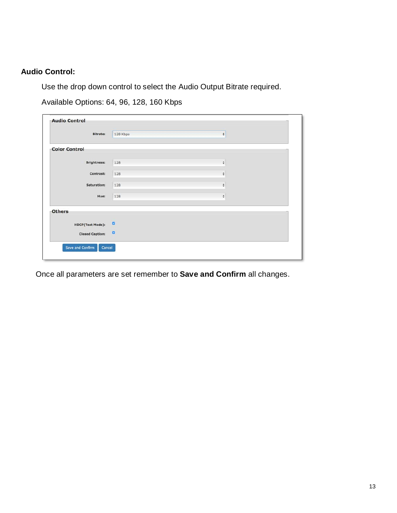#### **Audio Control:**

Use the drop down control to select the Audio Output Bitrate required.

Available Options: 64, 96, 128, 160 Kbps

| Bitrate:                | 128 Kbps | ÷                   |  |
|-------------------------|----------|---------------------|--|
| <b>Color Control</b>    |          |                     |  |
|                         |          |                     |  |
| <b>Brightness:</b>      | 128      | $\ddot{\mathbf{v}}$ |  |
| Contrast:               |          |                     |  |
|                         | 128      | ÷                   |  |
| Saturation:             | 128      | $\hat{\mathbf{v}}$  |  |
| Hue:                    | 128      | ÷                   |  |
| <b>Others</b>           |          |                     |  |
| <b>HDCP(Test Mode):</b> | ø        |                     |  |
| <b>Closed Caption:</b>  | ø        |                     |  |

Once all parameters are set remember to **Save and Confirm** all changes.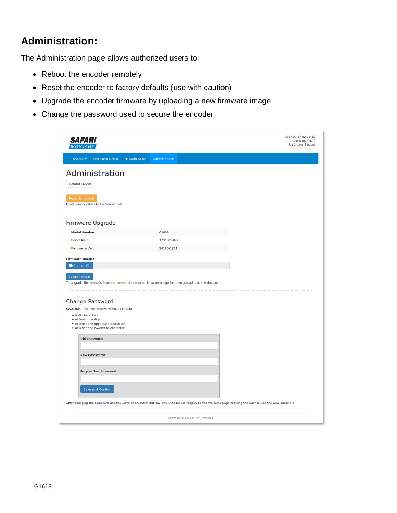### **Administration:**

The Administration page allows authorized users to:

- Reboot the encoder remotely
- Reset the encoder to factory defaults (use with caution)
- Upgrade the encoder firmware by uploading a new firmware image
- Change the password used to secure the encoder

| <b>SAFARI</b><br><b>MONTAGE</b>                                                                                                                                                             |                                 | 2017-09-17 02:18:52<br>GMT-0400 (EDT)<br>Up 2 days 2 hours |
|---------------------------------------------------------------------------------------------------------------------------------------------------------------------------------------------|---------------------------------|------------------------------------------------------------|
| <b>Streaming Setup</b><br><b>Network Setup</b><br>Overview                                                                                                                                  | Administration                  |                                                            |
| Administration<br><b>Reboot Device</b><br>                                                                                                                                                  |                                 |                                                            |
| <b>Reset to default</b><br>Reset configuration to factory default.                                                                                                                          |                                 |                                                            |
| Firmware Upgrade                                                                                                                                                                            |                                 |                                                            |
| <b>Model Number:</b>                                                                                                                                                                        | G1609                           |                                                            |
| <b>Serial No.:</b>                                                                                                                                                                          | 1738 224842                     |                                                            |
| <b>Firmware Ver.:</b>                                                                                                                                                                       | 2018061214                      |                                                            |
| <b>Change Password</b><br>CAUTION: The new password must contain:<br>$• 6~8$ characters<br>· At least one digit<br>. At least one uppercase character<br>. At least one lowercase character |                                 |                                                            |
| <b>Old Password:</b>                                                                                                                                                                        |                                 |                                                            |
| <b>New Password:</b>                                                                                                                                                                        |                                 |                                                            |
| <b>Retype New Password:</b>                                                                                                                                                                 |                                 |                                                            |
| Save and Confirm                                                                                                                                                                            |                                 |                                                            |
| After changing the password use the Save and Confirm button. The encoder will reopen to the Welcome page allowing the user to use the new password.                                         |                                 |                                                            |
|                                                                                                                                                                                             | Copyright @ 2018 SAFARI Montage |                                                            |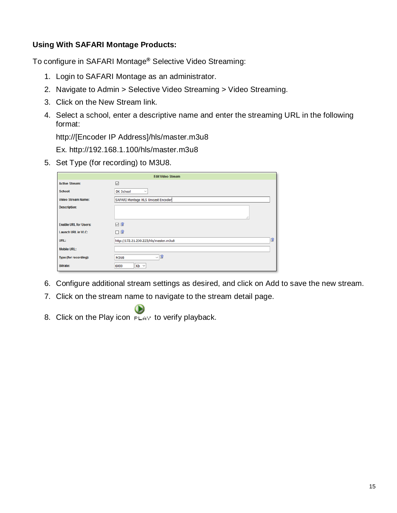#### **Using With SAFARI Montage Products:**

To configure in SAFARI Montage**®** Selective Video Streaming:

- 1. Login to SAFARI Montage as an administrator.
- 2. Navigate to Admin > Selective Video Streaming > Video Streaming.
- 3. Click on the New Stream link.
- 4. Select a school, enter a descriptive name and enter the streaming URL in the following format:

http://[Encoder IP Address]/hls/master.m3u8

Ex. http://192.168.1.100/hls/master.m3u8

5. Set Type (for recording) to M3U8.

|                              | <b>Edit Video Stream</b>              |   |
|------------------------------|---------------------------------------|---|
| <b>Active Stream:</b>        | ☑                                     |   |
| School:                      | <b>DK School</b><br>$\checkmark$      |   |
| <b>Video Stream Name:</b>    | SAFARI Montage HLS Unicast Encoder    |   |
| <b>Description:</b>          | i                                     |   |
| <b>Enable URL for Users:</b> | $\nabla$                              |   |
| <b>Launch URL in VLC:</b>    | $\Box$                                |   |
| URL:                         | http://172.21.230.225/hls/master.m3u8 | B |
| <b>Mobile URL:</b>           |                                       |   |
| Type (for recording):        | <u>als</u><br><b>M3U8</b>             |   |
| <b>Bitrate:</b>              | $Kb \sim$<br>6000                     |   |

- 6. Configure additional stream settings as desired, and click on Add to save the new stream.
- 7. Click on the stream name to navigate to the stream detail page.
- 8. Click on the Play icon  $F_{LAY}$  to verify playback.